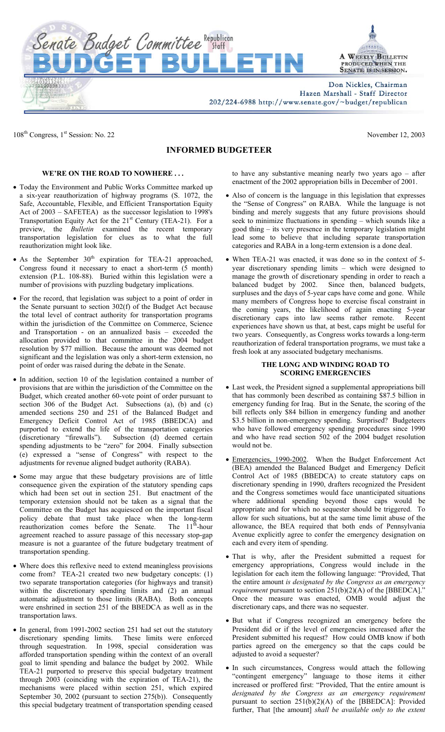

Don Nickles, Chairman Hazen Marshall - Staff Director

202/224-6988 http://www.senate.gov/~budget/republican

108<sup>th</sup> Congress, 1<sup>st</sup> Session: No. 22 November 12, 2003

## **INFORMED BUDGETEER**

## **WE'RE ON THE ROAD TO NOWHERE . . .**

Senate Budget Committee Republican

- Today the Environment and Public Works Committee marked up a six-year reauthorization of highway programs (S. 1072, the Safe, Accountable, Flexible, and Efficient Transportation Equity Act of 2003 – SAFETEA) as the successor legislation to 1998's Transportation Equity Act for the  $21<sup>st</sup>$  Century (TEA-21). For a preview, the *Bulletin* examined the recent temporary transportation legislation for clues as to what the full reauthorization might look like.
- As the September  $30<sup>th</sup>$  expiration for TEA-21 approached, Congress found it necessary to enact a short-term (5 month) extension (P.L. 108-88). Buried within this legislation were a number of provisions with puzzling budgetary implications.
- For the record, that legislation was subject to a point of order in the Senate pursuant to section 302(f) of the Budget Act because the total level of contract authority for transportation programs within the jurisdiction of the Committee on Commerce, Science and Transportation - on an annualized basis – exceeded the allocation provided to that committee in the 2004 budget resolution by \$77 million. Because the amount was deemed not significant and the legislation was only a short-term extension, no point of order was raised during the debate in the Senate.
- In addition, section 10 of the legislation contained a number of provisions that are within the jurisdiction of the Committee on the Budget, which created another 60-vote point of order pursuant to section 306 of the Budget Act. Subsections (a), (b) and (c) amended sections 250 and 251 of the Balanced Budget and Emergency Deficit Control Act of 1985 (BBEDCA) and purported to extend the life of the transportation categories (discretionary "firewalls"). Subsection (d) deemed certain spending adjustments to be "zero" for 2004. Finally subsection (e) expressed a "sense of Congress" with respect to the adjustments for revenue aligned budget authority (RABA).
- Some may argue that these budgetary provisions are of little consequence given the expiration of the statutory spending caps which had been set out in section 251. But enactment of the temporary extension should not be taken as a signal that the Committee on the Budget has acquiesced on the important fiscal policy debate that must take place when the long-term<br>reauthorization comes before the Senate. The 11<sup>th</sup>-hour reauthorization comes before the Senate. agreement reached to assure passage of this necessary stop-gap measure is not a guarantee of the future budgetary treatment of transportation spending.
- Where does this reflexive need to extend meaningless provisions come from? TEA-21 created two new budgetary concepts: (1) two separate transportation categories (for highways and transit) within the discretionary spending limits and (2) an annual automatic adjustment to those limits  $(RABA)$ . Both concepts were enshrined in section 251 of the BBEDCA as well as in the transportation laws.
- In general, from 1991-2002 section 251 had set out the statutory discretionary spending limits. These limits were enforced through sequestration. In 1998, special consideration was afforded transportation spending within the context of an overall goal to limit spending and balance the budget by 2002. While TEA-21 purported to preserve this special budgetary treatment through 2003 (coinciding with the expiration of TEA-21), the mechanisms were placed within section 251, which expired September 30, 2002 (pursuant to section 275(b)). Consequently this special budgetary treatment of transportation spending ceased

to have any substantive meaning nearly two years ago – after enactment of the 2002 appropriation bills in December of 2001.

- Also of concern is the language in this legislation that expresses the "Sense of Congress" on RABA. While the language is not binding and merely suggests that any future provisions should seek to minimize fluctuations in spending – which sounds like a good thing – its very presence in the temporary legislation might lead some to believe that including separate transportation categories and RABA in a long-term extension is a done deal.
- When TEA-21 was enacted, it was done so in the context of 5 year discretionary spending limits – which were designed to manage the growth of discretionary spending in order to reach a balanced budget by 2002. Since then, balanced budgets, surpluses and the days of 5-year caps have come and gone. While many members of Congress hope to exercise fiscal constraint in the coming years, the likelihood of again enacting 5-year discretionary caps into law seems rather remote. Recent experiences have shown us that, at best, caps might be useful for two years. Consequently, as Congress works towards a long-term reauthorization of federal transportation programs, we must take a fresh look at any associated budgetary mechanisms.

## **THE LONG AND WINDING ROAD TO SCORING EMERGENCIES**

- Last week, the President signed a supplemental appropriations bill that has commonly been described as containing \$87.5 billion in emergency funding for Iraq. But in the Senate, the scoring of the bill reflects only \$84 billion in emergency funding and another \$3.5 billion in non-emergency spending. Surprised? Budgeteers who have followed emergency spending procedures since 1990 and who have read section 502 of the 2004 budget resolution would not be.
- Emergencies, 1990-2002. When the Budget Enforcement Act (BEA) amended the Balanced Budget and Emergency Deficit Control Act of 1985 (BBEDCA) to create statutory caps on discretionary spending in 1990, drafters recognized the President and the Congress sometimes would face unanticipated situations where additional spending beyond those caps would be appropriate and for which no sequester should be triggered. To allow for such situations, but at the same time limit abuse of the allowance, the BEA required that both ends of Pennsylvania Avenue explicitly agree to confer the emergency designation on each and every item of spending.
- That is why, after the President submitted a request for emergency appropriations, Congress would include in the legislation for each item the following language: "Provided, That the entire amount *is designated by the Congress as an emergency requirement* pursuant to section 251(b)(2)(A) of the [BBEDCA]. Once the measure was enacted, OMB would adjust the discretionary caps, and there was no sequester.
- But what if Congress recognized an emergency before the President did or if the level of emergencies increased after the President submitted his request? How could OMB know if both parties agreed on the emergency so that the caps could be adjusted to avoid a sequester?
- In such circumstances, Congress would attach the following "contingent emergency" language to those items it either increased or proffered first: "Provided, That the entire amount is *designated by the Congress as an emergency requirement*  pursuant to section 251(b)(2)(A) of the [BBEDCA]: Provided further, That [the amount] *shall be available only to the extent*